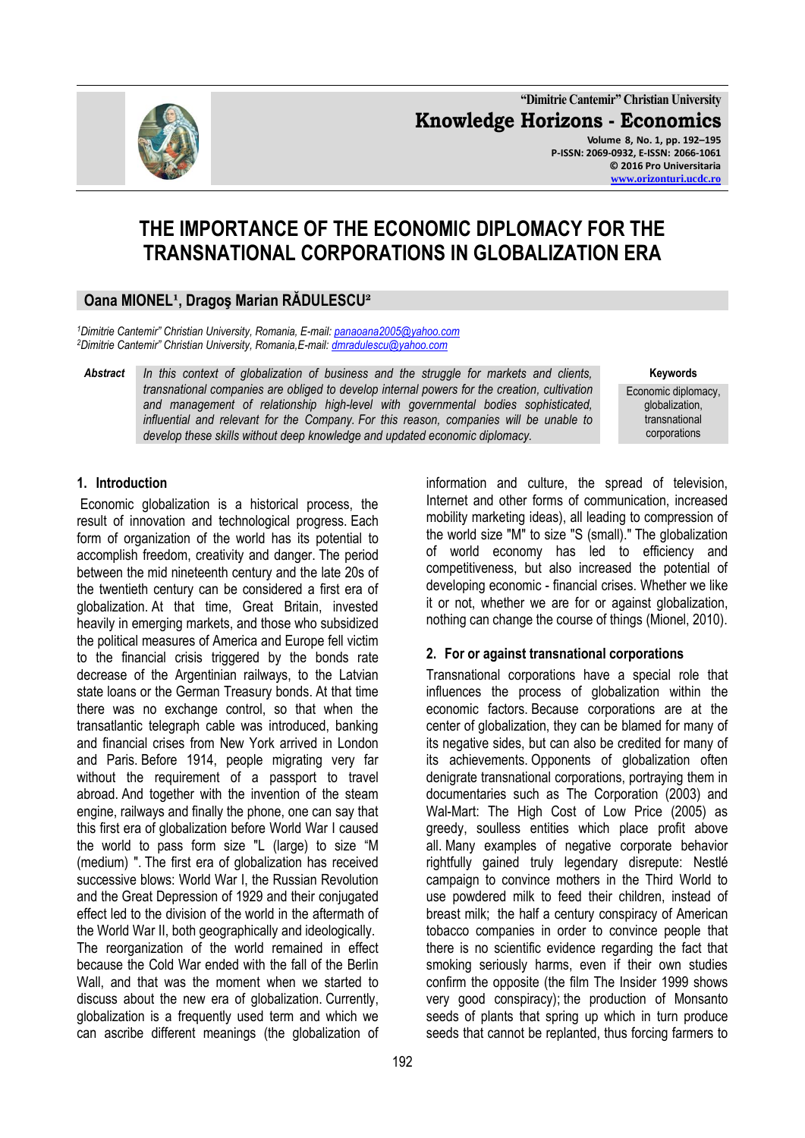**"Dimitrie Cantemir" Christian University Knowledge Horizons - Economics Volume 8, No. 1, pp. 192–195 P-ISSN: 2069-0932, E-ISSN: 2066-1061 © 2016 Pro Universitaria [www.orizonturi.ucdc.ro](http://www.orizonturi.ucdc.ro/)**

# **THE IMPORTANCE OF THE ECONOMIC DIPLOMACY FOR THE TRANSNATIONAL CORPORATIONS IN GLOBALIZATION ERA**

## **Oana MIONEL¹, Dragoş Marian RĂDULESCU²**

*<sup>1</sup>Dimitrie Cantemir" Christian University, Romania, E-mail[: panaoana2005@yahoo.com](mailto:panaoana2005@yahoo.com) <sup>2</sup>Dimitrie Cantemir" Christian University, Romania,E-mail: dmradulescu@yahoo.com*

*Abstract In this context of globalization of business and the struggle for markets and clients, transnational companies are obliged to develop internal powers for the creation, cultivation and management of relationship high-level with governmental bodies sophisticated, influential and relevant for the Company. For this reason, companies will be unable to develop these skills without deep knowledge and updated economic diplomacy.*

**Keywords** Economic diplomacy, globalization, transnational corporations

#### **1. Introduction**

Economic globalization is a historical process, the result of innovation and technological progress. Each form of organization of the world has its potential to accomplish freedom, creativity and danger. The period between the mid nineteenth century and the late 20s of the twentieth century can be considered a first era of globalization. At that time, Great Britain, invested heavily in emerging markets, and those who subsidized the political measures of America and Europe fell victim to the financial crisis triggered by the bonds rate decrease of the Argentinian railways, to the Latvian state loans or the German Treasury bonds. At that time there was no exchange control, so that when the transatlantic telegraph cable was introduced, banking and financial crises from New York arrived in London and Paris. Before 1914, people migrating very far without the requirement of a passport to travel abroad. And together with the invention of the steam engine, railways and finally the phone, one can say that this first era of globalization before World War I caused the world to pass form size "L (large) to size "M (medium) ". The first era of globalization has received successive blows: World War I, the Russian Revolution and the Great Depression of 1929 and their conjugated effect led to the division of the world in the aftermath of the World War II, both geographically and ideologically. The reorganization of the world remained in effect because the Cold War ended with the fall of the Berlin Wall, and that was the moment when we started to discuss about the new era of globalization. Currently, globalization is a frequently used term and which we can ascribe different meanings (the globalization of information and culture, the spread of television, Internet and other forms of communication, increased mobility marketing ideas), all leading to compression of the world size "M" to size "S (small)." The globalization of world economy has led to efficiency and competitiveness, but also increased the potential of developing economic - financial crises. Whether we like it or not, whether we are for or against globalization, nothing can change the course of things (Mionel, 2010).

#### **2. For or against transnational corporations**

Transnational corporations have a special role that influences the process of globalization within the economic factors. Because corporations are at the center of globalization, they can be blamed for many of its negative sides, but can also be credited for many of its achievements. Opponents of globalization often denigrate transnational corporations, portraying them in documentaries such as The Corporation (2003) and Wal-Mart: The High Cost of Low Price (2005) as greedy, soulless entities which place profit above all. Many examples of negative corporate behavior rightfully gained truly legendary disrepute: Nestlé campaign to convince mothers in the Third World to use powdered milk to feed their children, instead of breast milk; the half a century conspiracy of American tobacco companies in order to convince people that there is no scientific evidence regarding the fact that smoking seriously harms, even if their own studies confirm the opposite (the film The Insider 1999 shows very good conspiracy); the production of Monsanto seeds of plants that spring up which in turn produce seeds that cannot be replanted, thus forcing farmers to

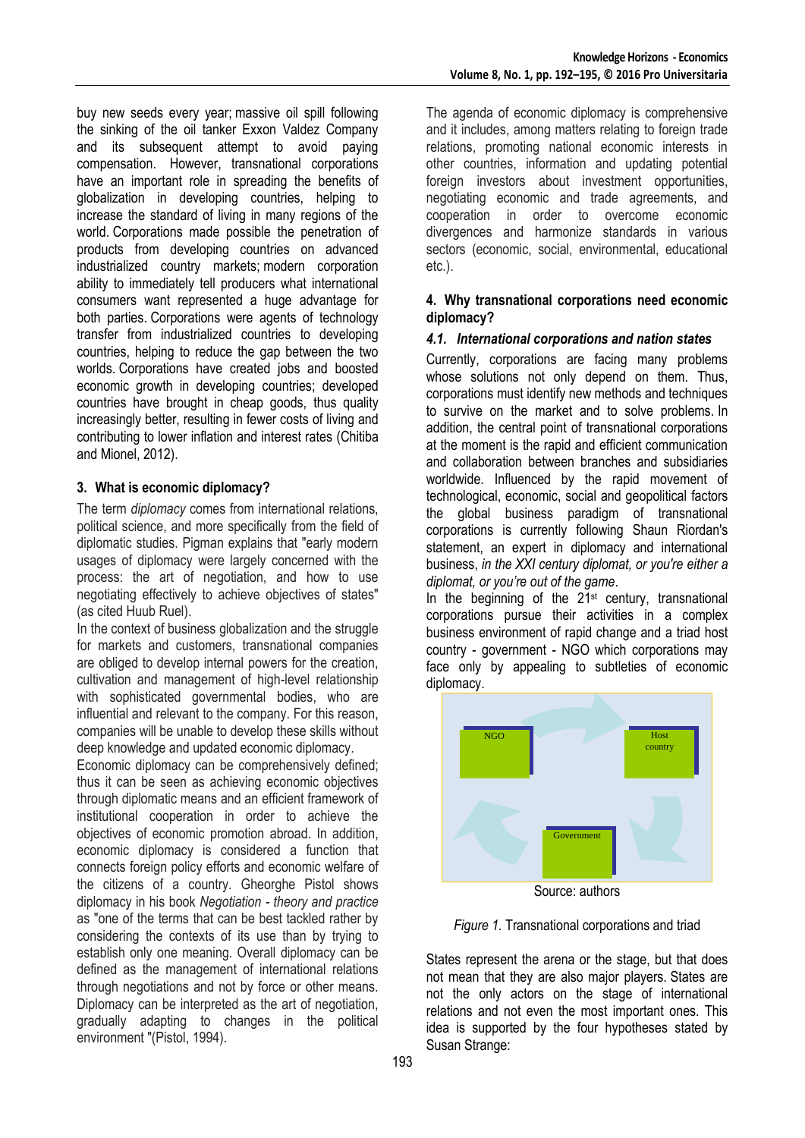buy new seeds every year; massive oil spill following the sinking of the oil tanker Exxon Valdez Company and its subsequent attempt to avoid paying compensation. However, transnational corporations have an important role in spreading the benefits of globalization in developing countries, helping to increase the standard of living in many regions of the world. Corporations made possible the penetration of products from developing countries on advanced industrialized country markets; modern corporation ability to immediately tell producers what international consumers want represented a huge advantage for both parties. Corporations were agents of technology transfer from industrialized countries to developing countries, helping to reduce the gap between the two worlds. Corporations have created jobs and boosted economic growth in developing countries; developed countries have brought in cheap goods, thus quality increasingly better, resulting in fewer costs of living and contributing to lower inflation and interest rates (Chitiba and Mionel, 2012).

#### **3. What is economic diplomacy?**

The term *diplomacy* comes from international relations, political science, and more specifically from the field of diplomatic studies. Pigman explains that "early modern usages of diplomacy were largely concerned with the process: the art of negotiation, and how to use negotiating effectively to achieve objectives of states" (as cited Huub Ruel).

In the context of business globalization and the struggle for markets and customers, transnational companies are obliged to develop internal powers for the creation, cultivation and management of high-level relationship with sophisticated governmental bodies, who are influential and relevant to the company. For this reason, companies will be unable to develop these skills without deep knowledge and updated economic diplomacy.

Economic diplomacy can be comprehensively defined; thus it can be seen as achieving economic objectives through diplomatic means and an efficient framework of institutional cooperation in order to achieve the objectives of economic promotion abroad. In addition, economic diplomacy is considered a function that connects foreign policy efforts and economic welfare of the citizens of a country. Gheorghe Pistol shows diplomacy in his book *Negotiation - theory and practice* as "one of the terms that can be best tackled rather by considering the contexts of its use than by trying to establish only one meaning. Overall diplomacy can be defined as the management of international relations through negotiations and not by force or other means. Diplomacy can be interpreted as the art of negotiation, gradually adapting to changes in the political environment "(Pistol, 1994).

The agenda of economic diplomacy is comprehensive and it includes, among matters relating to foreign trade relations, promoting national economic interests in other countries, information and updating potential foreign investors about investment opportunities, negotiating economic and trade agreements, and cooperation in order to overcome economic divergences and harmonize standards in various sectors (economic, social, environmental, educational etc.).

#### **4. Why transnational corporations need economic diplomacy?**

### *4.1. International corporations and nation states*

Currently, corporations are facing many problems whose solutions not only depend on them. Thus, corporations must identify new methods and techniques to survive on the market and to solve problems. In addition, the central point of transnational corporations at the moment is the rapid and efficient communication and collaboration between branches and subsidiaries worldwide. Influenced by the rapid movement of technological, economic, social and geopolitical factors the global business paradigm of transnational corporations is currently following Shaun Riordan's statement, an expert in diplomacy and international business, *in the XXI century diplomat, or you're either a diplomat, or you're out of the game*.

In the beginning of the  $21<sup>st</sup>$  century, transnational corporations pursue their activities in a complex business environment of rapid change and a triad host country - government - NGO which corporations may face only by appealing to subtleties of economic diplomacy.



Source: authors

#### *Figure 1.* Transnational corporations and triad

States represent the arena or the stage, but that does not mean that they are also major players. States are not the only actors on the stage of international relations and not even the most important ones. This idea is supported by the four hypotheses stated by Susan Strange: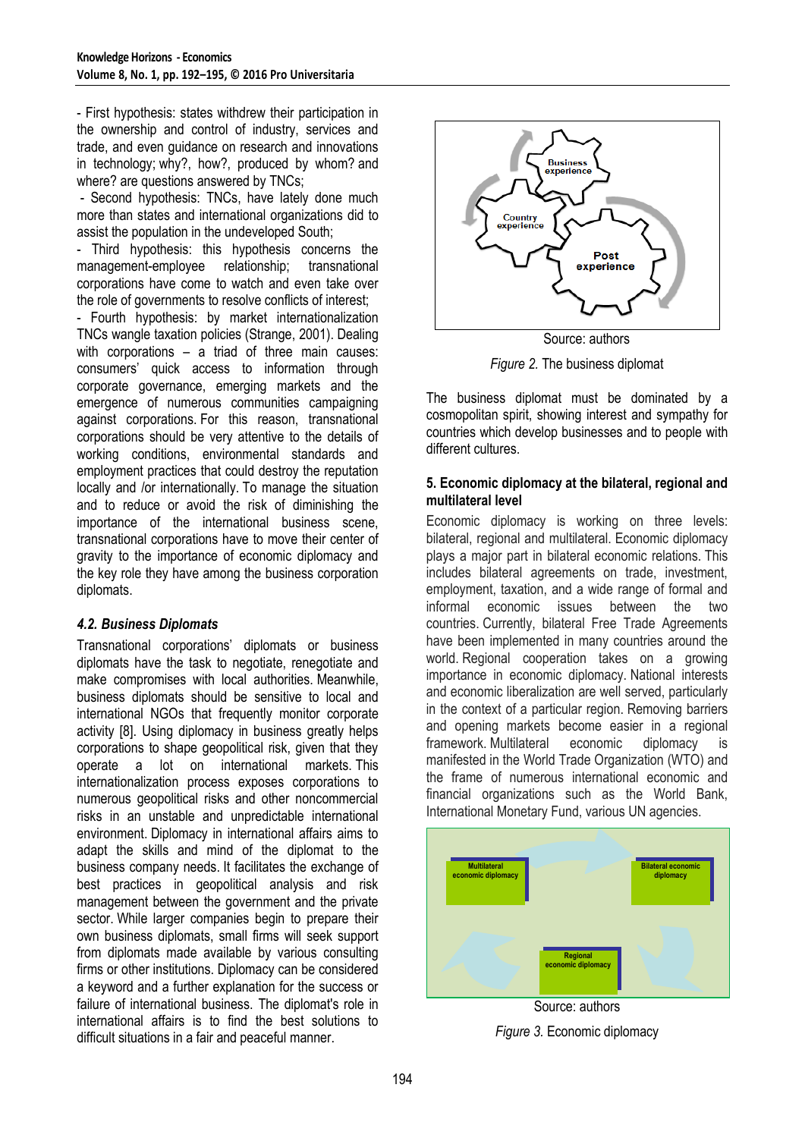- First hypothesis: states withdrew their participation in the ownership and control of industry, services and trade, and even guidance on research and innovations in technology; why?, how?, produced by whom? and where? are questions answered by TNCs;

- Second hypothesis: TNCs, have lately done much more than states and international organizations did to assist the population in the undeveloped South;

- Third hypothesis: this hypothesis concerns the management-employee relationship; transnational corporations have come to watch and even take over the role of governments to resolve conflicts of interest;

- Fourth hypothesis: by market internationalization TNCs wangle taxation policies (Strange, 2001). Dealing with corporations – a triad of three main causes: consumers' quick access to information through corporate governance, emerging markets and the emergence of numerous communities campaigning against corporations. For this reason, transnational corporations should be very attentive to the details of working conditions, environmental standards and employment practices that could destroy the reputation locally and /or internationally. To manage the situation and to reduce or avoid the risk of diminishing the importance of the international business scene, transnational corporations have to move their center of gravity to the importance of economic diplomacy and the key role they have among the business corporation diplomats.

#### *4.2. Business Diplomats*

Transnational corporations' diplomats or business diplomats have the task to negotiate, renegotiate and make compromises with local authorities. Meanwhile, business diplomats should be sensitive to local and international NGOs that frequently monitor corporate activity [8]. Using diplomacy in business greatly helps corporations to shape geopolitical risk, given that they operate a lot on international markets. This internationalization process exposes corporations to numerous geopolitical risks and other noncommercial risks in an unstable and unpredictable international environment. Diplomacy in international affairs aims to adapt the skills and mind of the diplomat to the business company needs. It facilitates the exchange of best practices in geopolitical analysis and risk management between the government and the private sector. While larger companies begin to prepare their own business diplomats, small firms will seek support from diplomats made available by various consulting firms or other institutions. Diplomacy can be considered a keyword and a further explanation for the success or failure of international business. The diplomat's role in international affairs is to find the best solutions to difficult situations in a fair and peaceful manner.



*Figure 2.* The business diplomat

The business diplomat must be dominated by a cosmopolitan spirit, showing interest and sympathy for countries which develop businesses and to people with different cultures.

#### **5. Economic diplomacy at the bilateral, regional and multilateral level**

Economic diplomacy is working on three levels: bilateral, regional and multilateral. Economic diplomacy plays a major part in bilateral economic relations. This includes bilateral agreements on trade, investment, employment, taxation, and a wide range of formal and informal economic issues between the two countries. Currently, bilateral Free Trade Agreements have been implemented in many countries around the world. Regional cooperation takes on a growing importance in economic diplomacy. National interests and economic liberalization are well served, particularly in the context of a particular region. Removing barriers and opening markets become easier in a regional framework. Multilateral economic diplomacy is manifested in the World Trade Organization (WTO) and the frame of numerous international economic and financial organizations such as the World Bank, International Monetary Fund, various UN agencies.



Source: authors

*Figure 3.* Economic diplomacy